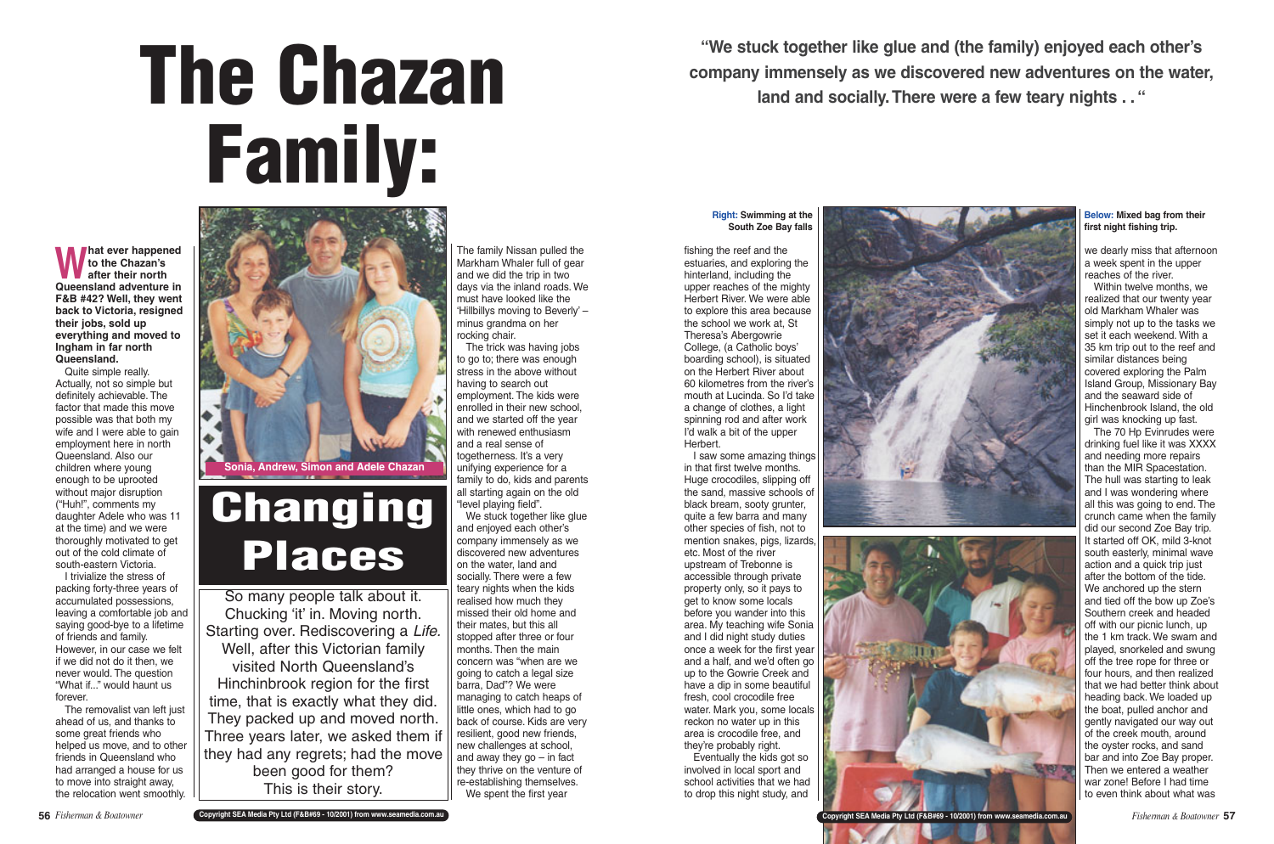fishing the reef and the estuaries, and exploring the hinterland, including the upper reaches of the mighty Herbert River. We were able to explore this area because the school we work at, St Theresa's Abergowrie College, (a Catholic boys' boarding school), is situated on the Herbert River about 60 kilometres from the river's mouth at Lucinda. So I'd take a change of clothes, a light spinning rod and after work I'd walk a bit of the upper Herbert.

I saw some amazing things in that first twelve months. Huge crocodiles, slipping off the sand, massive schools of black bream, sooty grunter, quite a few barra and many other species of fish, not to mention snakes, pigs, lizards, etc. Most of the river upstream of Trebonne is accessible through private property only, so it pays to get to know some locals before you wander into this area. My teaching wife Sonia and I did night study duties once a week for the first year and a half, and we'd often go up to the Gowrie Creek and have a dip in some beautiful fresh, cool crocodile free water. Mark you, some locals reckon no water up in this area is crocodile free, and they're probably right.

Eventually the kids got so involved in local sport and school activities that we had to drop this night study, and

**What ever happened to the Chazan's after their north Queensland adventure in F&B #42? Well, they went back to Victoria, resigned their jobs, sold up everything and moved to Ingham in far north Queensland.**

Quite simple really. Actually, not so simple but definitely achievable. The factor that made this move possible was that both my wife and I were able to gain employment here in north Queensland. Also our children where young enough to be uprooted without major disruption ("Huh!", comments my daughter Adele who was 11 at the time) and we were thoroughly motivated to get out of the cold climate of south-eastern Victoria.

I trivialize the stress of packing forty-three years of accumulated possessions, leaving a comfortable job and saying good-bye to a lifetime of friends and family. However, in our case we felt if we did not do it then, we never would. The question "What if..." would haunt us forever.

The removalist van left just ahead of us, and thanks to some great friends who helped us move, and to other friends in Queensland who had arranged a house for us to move into straight away, the relocation went smoothly.

The family Nissan pulled the Markham Whaler full of gear and we did the trip in two days via the inland roads. We must have looked like the 'Hillbillys moving to Beverly' – minus grandma on her rocking chair.

The trick was having jobs to go to: there was enough stress in the above without having to search out employment. The kids were enrolled in their new school, and we started off the year with renewed enthusiasm and a real sense of togetherness. It's a very unifying experience for a family to do, kids and parents all starting again on the old "level playing field".

We stuck together like glue and enjoyed each other's company immensely as we discovered new adventures on the water, land and socially. There were a few teary nights when the kids realised how much they missed their old home and their mates, but this all stopped after three or four months. Then the main concern was "when are we going to catch a legal size barra, Dad"? We were managing to catch heaps of little ones, which had to go back of course. Kids are very resilient, good new friends, new challenges at school, and away they  $go - in fact$ they thrive on the venture of re-establishing themselves. We spent the first year

we dearly miss that afternoon a week spent in the upper reaches of the river.

Within twelve months, we realized that our twenty year old Markham Whaler was simply not up to the tasks we set it each weekend. With a 35 km trip out to the reef and similar distances being covered exploring the Palm Island Group, Missionary Bay and the seaward side of Hinchenbrook Island, the old girl was knocking up fast.

The 70 Hp Evinrudes were drinking fuel like it was XXXX and needing more repairs than the MIR Spacestation. The hull was starting to leak and I was wondering where all this was going to end. The crunch came when the family did our second Zoe Bay trip. It started off OK, mild 3-knot south easterly, minimal wave action and a quick trip just after the bottom of the tide. We anchored up the stern and tied off the bow up Zoe's Southern creek and headed off with our picnic lunch, up the 1 km track. We swam and played, snorkeled and swung off the tree rope for three or four hours, and then realized that we had better think about heading back. We loaded up the boat, pulled anchor and gently navigated our way out of the creek mouth, around the oyster rocks, and sand bar and into Zoe Bay proper. Then we entered a weather war zone! Before I had time to even think about what was

# **The Chazan Family:**

# **Changing Places**

So many people talk about it. Chucking 'it' in. Moving north. Starting over. Rediscovering a Life. Well, after this Victorian family visited North Queensland's Hinchinbrook region for the first time, that is exactly what they did. They packed up and moved north. Three years later, we asked them if they had any regrets; had the move been good for them? This is their story.



**"We stuck together like glue and (the family) enjoyed each other's company immensely as we discovered new adventures on the water, land and socially.There were a few teary nights . . "**



**Below: Mixed bag from their first night fishing trip.** 

# **Right: Swimming at the South Zoe Bay falls**